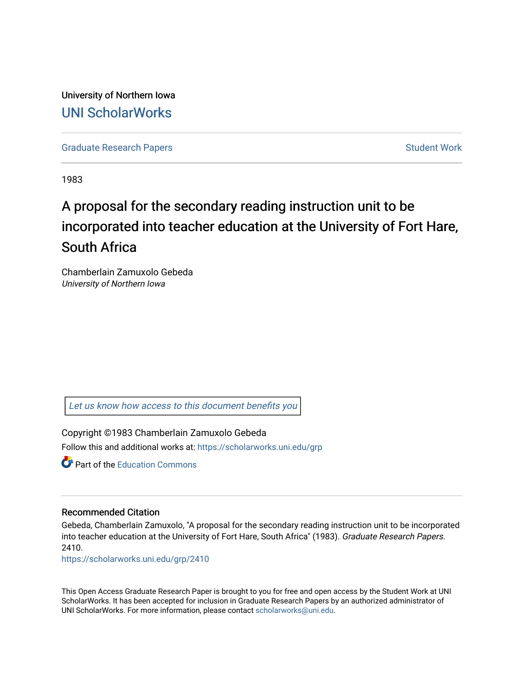University of Northern Iowa [UNI ScholarWorks](https://scholarworks.uni.edu/) 

[Graduate Research Papers](https://scholarworks.uni.edu/grp) **Student Work** Student Work

1983

# A proposal for the secondary reading instruction unit to be incorporated into teacher education at the University of Fort Hare, South Africa

Chamberlain Zamuxolo Gebeda University of Northern Iowa

[Let us know how access to this document benefits you](https://scholarworks.uni.edu/feedback_form.html) 

Copyright ©1983 Chamberlain Zamuxolo Gebeda Follow this and additional works at: [https://scholarworks.uni.edu/grp](https://scholarworks.uni.edu/grp?utm_source=scholarworks.uni.edu%2Fgrp%2F2410&utm_medium=PDF&utm_campaign=PDFCoverPages) 

**P** Part of the [Education Commons](http://network.bepress.com/hgg/discipline/784?utm_source=scholarworks.uni.edu%2Fgrp%2F2410&utm_medium=PDF&utm_campaign=PDFCoverPages)

### Recommended Citation

Gebeda, Chamberlain Zamuxolo, "A proposal for the secondary reading instruction unit to be incorporated into teacher education at the University of Fort Hare, South Africa" (1983). Graduate Research Papers. 2410.

[https://scholarworks.uni.edu/grp/2410](https://scholarworks.uni.edu/grp/2410?utm_source=scholarworks.uni.edu%2Fgrp%2F2410&utm_medium=PDF&utm_campaign=PDFCoverPages) 

This Open Access Graduate Research Paper is brought to you for free and open access by the Student Work at UNI ScholarWorks. It has been accepted for inclusion in Graduate Research Papers by an authorized administrator of UNI ScholarWorks. For more information, please contact [scholarworks@uni.edu.](mailto:scholarworks@uni.edu)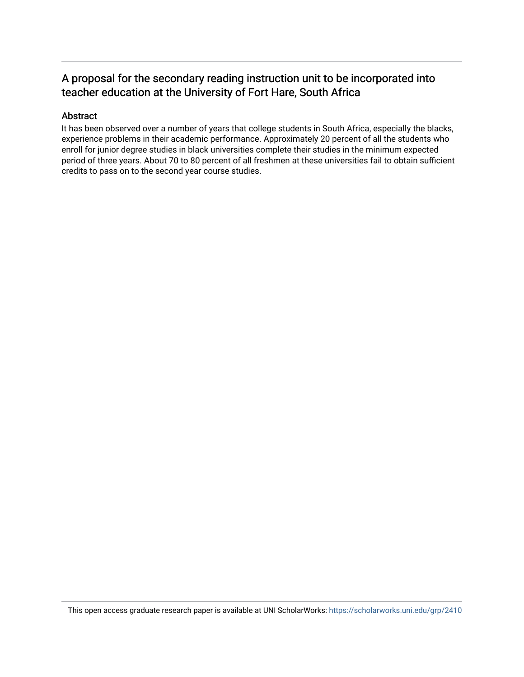## A proposal for the secondary reading instruction unit to be incorporated into teacher education at the University of Fort Hare, South Africa

### Abstract

It has been observed over a number of years that college students in South Africa, especially the blacks, experience problems in their academic performance. Approximately 20 percent of all the students who enroll for junior degree studies in black universities complete their studies in the minimum expected period of three years. About 70 to 80 percent of all freshmen at these universities fail to obtain sufficient credits to pass on to the second year course studies.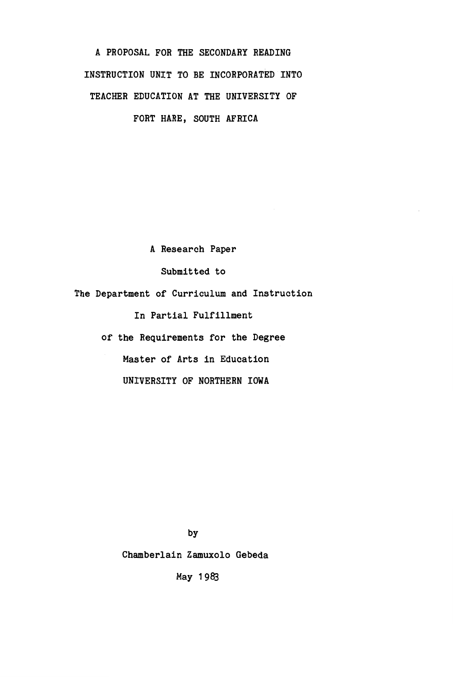A PROPOSAL FOR THE SECONDARY READING INSTRUCTION UNIT TO BE INCORPORATED INTO TEACHER EDUCATION AT THE UNIVERSITY OF FORT HARE, SOUTH **AFRICA** 

A Research Paper Submitted to The Department of Curriculum and Instruction In Partial Fulfillment of the Requirements for the Degree Master of Arts in Education

UNIVERSITY OF NORTHERN IOWA

by

Chamberlain Zamuxolo Gebeda

May 1983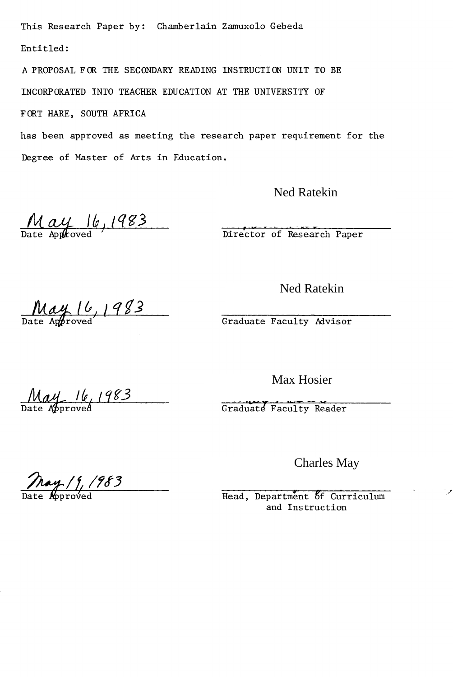This Research Paper by: Chamberlain Zamuxolo Gebeda Entitled:

A PROPOSAL FOR THE SECONDARY READING INSTRUCTION UNIT TO BE INCORPORATED INTO TEACHER EDUCATION AT THE UNIVERSITY OF

FORT HARE, SOUTH AFRICA

has been approved as meeting the research paper requirement for the Degree of Master of Arts in Education.

Ned Ratekin

May 16, 1983

Director of Research Paper

Ned Ratekin

 $\frac{May16}{Rate$  Approved 1983

Graduate Faculty Mvisor

*May 16, 1983* **Graduate Faculty Reader**<br>
Graduate Faculty Reader

Max Hosier

Charles May

 $\frac{\log 1983}{\log 100}$ 

Head, Department of Curriculum and Instruction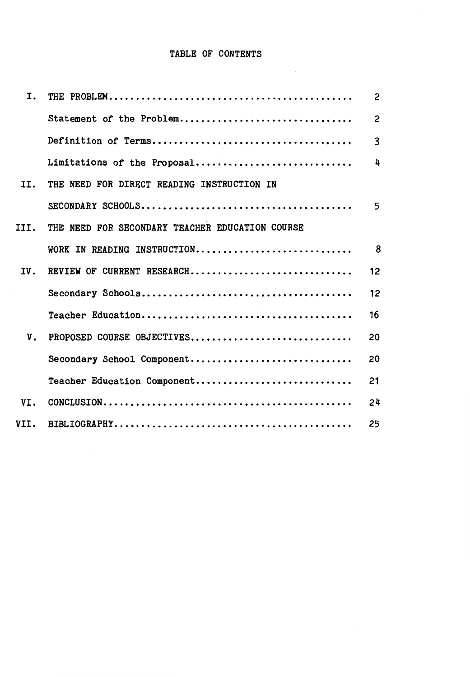# TABLE OF CONTENTS

| I.   |                                                 | $\overline{c}$ |
|------|-------------------------------------------------|----------------|
|      | Statement of the Problem                        | $\overline{c}$ |
|      |                                                 | 3              |
|      | Limitations of the Proposal                     | 4              |
| II.  | THE NEED FOR DIRECT READING INSTRUCTION IN      |                |
|      |                                                 | 5              |
| III. | THE NEED FOR SECONDARY TEACHER EDUCATION COURSE |                |
|      | WORK IN READING INSTRUCTION                     | 8              |
| IV.  | REVIEW OF CURRENT RESEARCH                      | 12             |
|      |                                                 | 12             |
|      |                                                 | 16             |
| V.   | PROPOSED COURSE OBJECTIVES                      | 20             |
|      | Secondary School Component                      | 20             |
|      | Teacher Education Component                     | 21             |
| VI.  |                                                 | 24             |
| VII. |                                                 | 25             |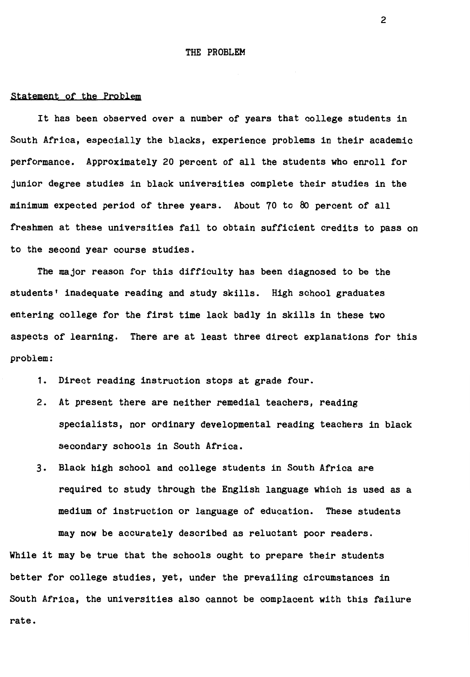#### THE PROBLEM

#### statement of the Problem

It has been observed over a number of years that college students in South Africa, especially the blacks, experience problems in their academic performance. Approximately 20 percent of all the students who enroll for junior degree studies in black universities complete their studies in the minimum expected period of three years. About 70 to 80 percent of all freshmen at these universities fail to obtain sufficient credits to pass on to the second year course studies.

The major reason for this difficulty has been diagnosed to be the students' inadequate reading and study skills. High school graduates entering college for the first time lack badly in skills in these two aspects of learning. There are at least three direct explanations for this problem:

- 1. Direct reading instruction stops at grade four.
- 2. At present there are neither remedial teachers, reading specialists, nor ordinary developmental reading teachers in black secondary schools in South Africa.
- 3. Black high school and college students in South Africa are required to study through the English language which is used as a medium of instruction or language of education. These students may now be accurately described as reluctant poor readers.

While it may be true that the schools ought to prepare their students better for college studies, yet, under the prevailing circumstances in South Africa, the universities also cannot be complacent with this failure rate.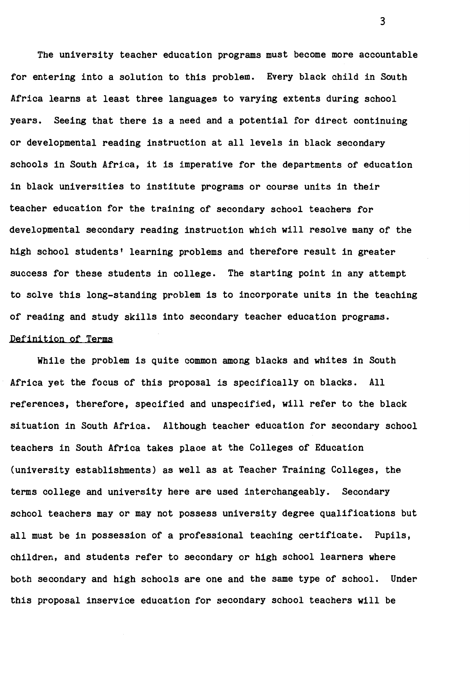The university teacher education programs must become more accountable for entering into a solution to this problem. Every black child in South Africa learns at least three languages to varying extents during school years. Seeing that there is a need and a potential for direct continuing or developmental reading instruction at all levels in black secondary schools in South Africa, it is imperative for the departments of education in black universities to institute programs or course units in their teacher education for the training of secondary school teachers for developmental secondary reading instruction which will resolve many of the high school students' learning problems and therefore result in greater success for these students in college. The starting point in any attempt to solve this long-standing problem is to incorporate units in the teaching of reading and study skills into secondary teacher education programs. Definition of Terms

While the problem is quite common among blacks and whites in South Africa yet the focus of this proposal is specifically on blacks. All references, therefore, specified and unspecified, will refer to the black situation in South Africa. Although teacher education for secondary school teachers in South Africa takes place at the Colleges of Education (university establishments) as well as at Teacher Training Colleges, the terms college and university here are used interchangeably. Secondary school teachers may or may not possess university degree qualifications but all must be in possession of a professional teaching certificate. Pupils, children, and students refer to secondary or high school learners where both secondary and high schools are one and the same type of school. Under this proposal inservice education for secondary school teachers will be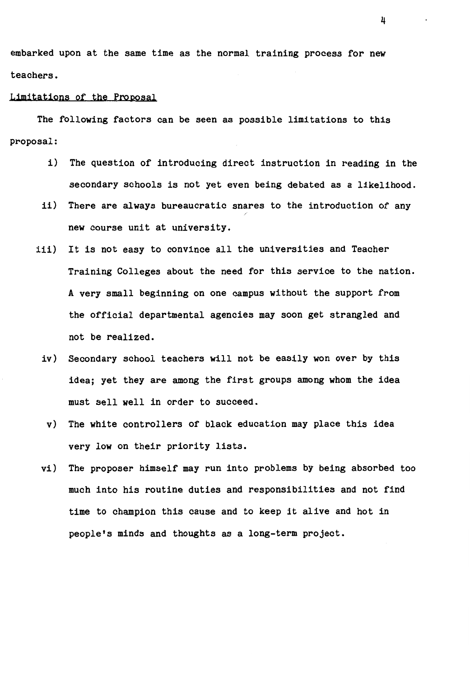embarked upon at the same time as the normal training process for new teachers.

#### Limitations of the Proposal

The following factors can be seen as possible limitations to this proposal:

- i) The question of introducing direct instruction in reading in the secondary schools is not yet even being debated as a likelihood.
- ii) There are always bureaucratic snares to the introduction of any new course unit at university.
- iii) It is not easy to convince all the universities and Teacher Training Colleges about the need for this service to the nation. A very small beginning on one campus without the support from the official departmental agencies may soon get strangled and not be realized.
	- iv) Secondary school teachers will not be easily won over by this idea; yet they are among the first groups among whom the idea must sell well in order to succeed.
	- v) The white controllers of black education may place this idea very low on their priority lists.
- vi) The proposer himself may run into problems by being absorbed too much into his routine duties and responsibilities and not find time to champion this cause and to keep it alive and hot in people's minds and thoughts as a long-term project.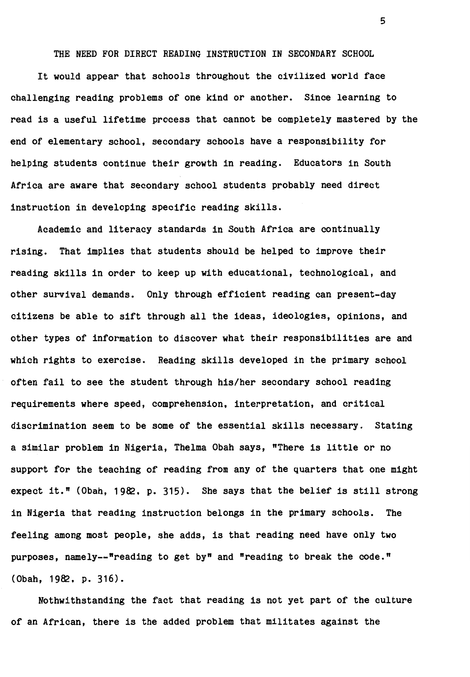THE NEED FOR DIRECT READING INSTRUCTION IN SECONDARY SCHOOL

It would appear that schools throughout the civilized world face challenging reading problems of one kind or another. Since learning to read is a useful lifetime process that cannot be completely mastered by the end of elementary school, secondary schools have a responsibility for helping students continue their growth in reading. Educators in South Africa are aware that secondary school students probably need direct instruction in developing specific reading skills.

Academic and literacy standards in South Africa are continually rising. That implies that students should be helped to improve their reading skills in order to keep up with educational, technological, and other survival demands. Only through efficient reading can present-day citizens be able to sift through all the ideas, ideologies, opinions, and other types of information to discover what their responsibilities are and which rights to exercise. Reading skills developed in the primary school often fail to see the student through his/her secondary school reading requirements **where** speed, comprehension, interpretation, and critical discrimination seem to be some of the essential skills necessary. Stating a similar problem in Nigeria, Thelma Obah says, "There is little or no support for the teaching of reading from any of the quarters that one might expect it." (Obah, 1982. p. 315). She says that the belief is still strong in Nigeria that reading instruction belongs in the primary schools. The feeling among most people, she adds, is that reading need have only two purposes, namely--"reading to get by" and "reading to break the code."  $( 0$ bah, 1982, p. 316).

Nothwithstanding the fact that reading is not yet part of the culture of an African, there is the added problem that militates against the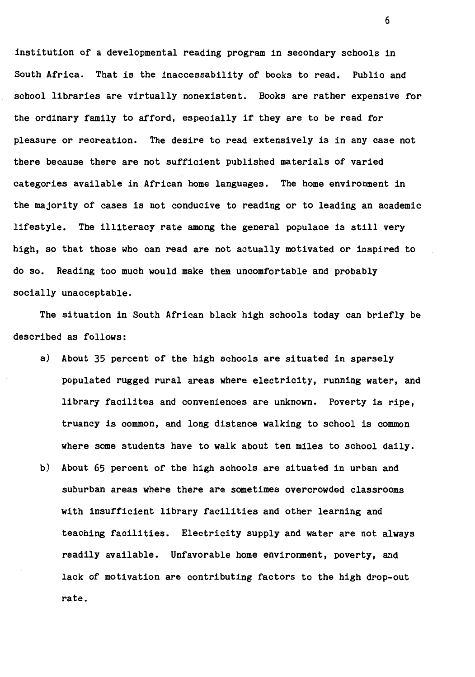institution of a developmental reading program in secondary schools in South Africa. That is the inaccessability of books to read. Public and school libraries are virtually nonexistent. Books are rather expensive for the ordinary family to afford, especially if they are to be read for pleasure or recreation. The desire to read extensively is in any case not there because there are not sufficient published materials of varied categories available in African home languages. The home environment in the majority of cases is not conducive to reading or to leading an academic lifestyle. The illiteracy rate among the general populace is still very high, so that those who can read are not actually motivated or inspired to do so. Reading too much would make them uncomfortable and probably socially unacceptable.

The situation in South African black high schools today can briefly be described as follows:

- a) About 35 percent of the high schools are situated in sparsely populated rugged rural areas where electricity, running water, and library facilites and conveniences are unknown. Poverty is ripe, truancy is common, and long distance walking to school is common where some students have to walk about ten miles to school daily.
- b) About 65 percent of the high schools are situated in urban and suburban areas where there are sometimes overcrowded classrooms with insufficient library facilities and other learning and teaching facilities. Electricity supply and water are not always readily available. Unfavorable home environment, poverty, and lack of motivation are contributing factors to the high drop-out rate.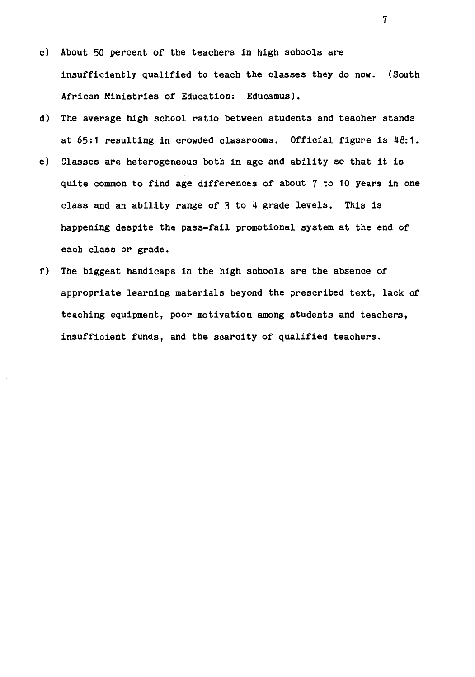- c) About 50 percent of the teachers in high schools are insufficiently qualified to teach the classes they do now. (South African Ministries of Education: Educamus).
- d) The average high school ratio between students and teacher stands at 65:1 resulting in crowded classrooms. Official figure is 48:1.
- e) Classes are heterogeneous both in age and ability so that it is quite common to find age differences of about 7 to 10 years in one class and an ability range of 3 to 4 grade levels. This is happening despite the pass-fail promotional system at the end of each class or grade.
- f) The biggest handicaps in the high schools are the absence of appropriate learning materials beyond the prescribed text, lack of teaching equipment, poor motivation among students and teachers, insufficient funds, and the scarcity of qualified teachers.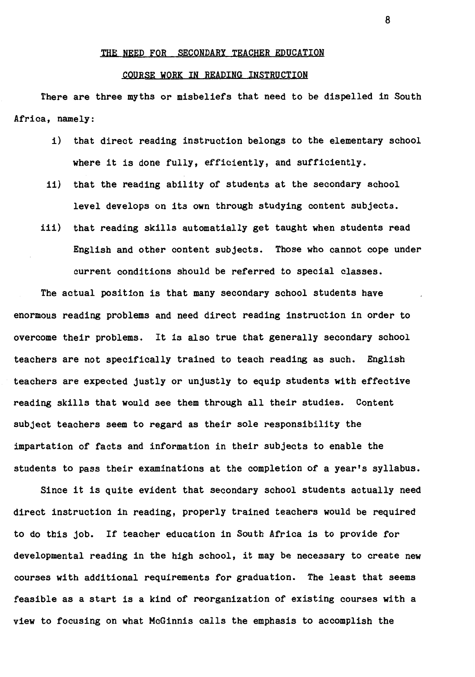#### THE NEED FOR SECONDARY TEACHER EDUCATION

#### COURSE WORK IN READING INSTRUCTION

There are three myths or misbeliefs that need to be dispelled in South Africa, namely:

- i) that direct reading instruction belongs to the elementary school where it is done fully, efficiently, and sufficiently.
- ii) that the reading ability of students at the secondary school level develops on its own through studying content subjects.
- iii) that reading skills automatially get taught when students read English and other content subjects. Those who cannot cope under current conditions should be referred to special classes.

The actual position is that many secondary school students have enormous reading problems and need direct reading instruction in order to overcome their problems. It is also true that generally secondary school teachers are not specifically trained to teach reading as such. English teachers are expected justly or unjustly to equip students with effective reading skills that would see them through all their studies. Content subject teachers seem to regard as their sole responsibility the impartation of facts and information in their subjects to enable the students to pass their examinations at the completion of a year's syllabus.

Since it is quite evident that secondary school students actually need direct instruction in reading, properly trained teachers would be required to do this job. If teacher education in South Africa is to provide for developmental reading in the high school, it may be necessary to create new courses with additional requirements for graduation. The least that seems feasible as a start is a kind of reorganization of existing courses with a view to focusing on what McGinnis calls the emphasis to accomplish the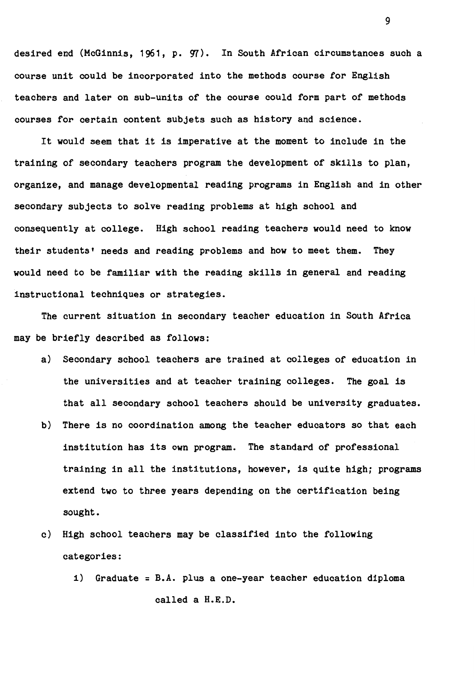desired end (McGinnis, 1961, p. 97). In South African circumstances such a course unit could be incorporated into the methods course for English teachers and later on sub-units of the course could form part of methods courses for certain content subjets such as history and science.

It would seem that it is imperative at the moment to include in the training of secondary teachers program the development of skills to plan, organize, and manage developmental reading programs in English and in other secondary subjects to solve reading problems at high school and consequently at college. High school reading teachers would need to know their students' needs and reading problems and how to meet them. They would need to be familiar with the reading skills in general and reading instructional techniques or strategies.

The current situation in secondary teacher education in South Africa may be briefly described as follows:

- a) Secondary school teachers are trained at colleges of education in the universities and at teacher training colleges. The goal is that all secondary school teachers should be university graduates.
- b) There is no coordination among the teacher educators so that each institution has its own program. The standard of professional training in all the institutions, however, is quite high; programs extend two to three years depending on the certification being sought.
- c) High school teachers may be classified into the following categories:
	- i) Graduate= B.A. plus a one-year teacher education diploma called a H.E.D.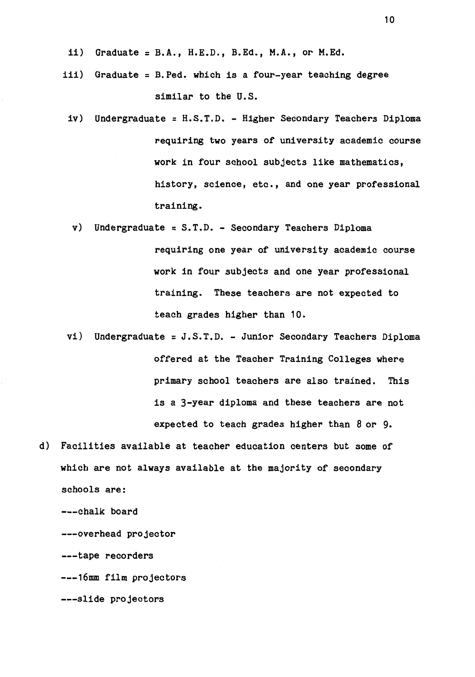- ii) Graduate =  $B.A., H.E.D., B.Ed., M.A., or M.Ed.$
- iii) Graduate = B.Ped. which is a four-year teaching degree similar to the U.S.
	- iv) Undergraduate= H.S.T.D. Higher Secondary Teachers Diploma requiring two years of university academic course work in four school subjects like mathematics, history, science, etc., and one year professional training.
		- $v)$  Undergraduate = S.T.D. Secondary Teachers Diploma requiring one year of university academic course work in four subjects and one year professional training. These teachers are not expected to teach grades higher than 10.
- vi) Undergraduate = J.S.T.D. Junior Secondary Teachers Diploma offered at the Teacher Training Colleges where primary school teachers are also trained. This is a 3-year diploma and these teachers are not expected to teach grades higher than 8 or 9.
- d) Facilities available at teacher education centers but some of which are not always available at the majority of secondary schools are: ---chalk board ---overhead projector

---tape recorders

---16mm film projectors

---slide projectors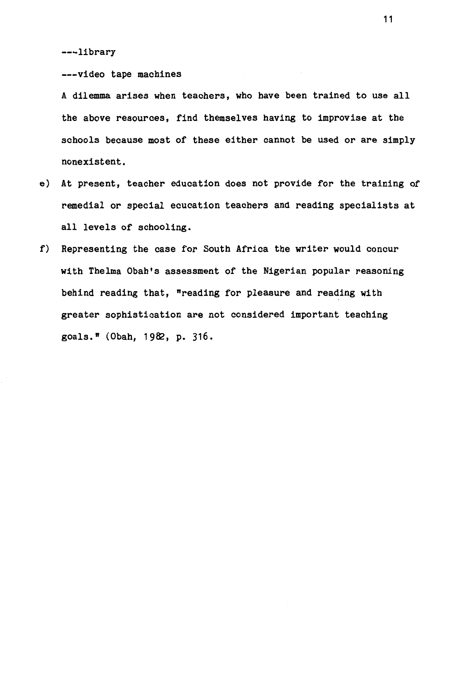---library

---video tape machines

A dilemma arises when teachers, who have been trained to use all the above resources, find themselves having to improvise at the schools because most of these either cannot be used or are simply nonexistent.

- e) At present, teacher education does not provide for the training of remedial or special ecucation teachers and reading specialists at all levels of schooling.
- f) Representing the case for South Africa the writer would concur with Thelma Obah's assessment of the Nigerian popular reasoning behind reading that, "reading for pleasure and reading with greater sophistication are not considered important teaching goals." (Obah, 1982, p. 316.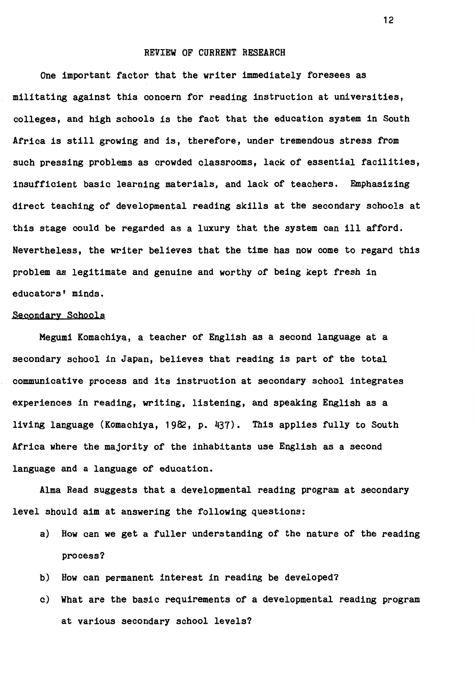#### REVIEW OF CURRENT RESEARCH

One important factor that the writer immediately foresees as militating against this concern for reading instruction at universities, colleges, and high schools is the fact that the education system in South Africa is still **growing** and is, therefore, under tremendous stress from such pressing problems as crowded classrooms, lack of essential facilities, insufficient basic learning materials, and lack of teachers. Emphasizing direct teaching of developmental reading skills at the secondary schools at this stage could be regarded as a luxury that the system can ill afford. Nevertheless, the writer believes that the time has now come to regard this problem as legitimate and genuine and worthy of being kept fresh in educators' minds.

#### secondary Schools

**Megumi** Komachiya, a teacher of English as a second language at a secondary school in Japan, believes that reading is part of the total communicative process and its instruction at secondary school integrates experiences in reading, writing, listening, and speaking English as a living language (Komachiya, 1982, p. 437). This applies fully to South Africa where the majority of the inhabitants use English as a second language and a language of education.

Alma Read suggests that a developmental reading program at secondary level should aim at answering the following questions:

- a) How can we get a fuller understanding of the nature of the reading process?
- b) How can permanent interest in reading be developed?
- c) What are the basic requirements of a developmental reading program at various secondary school levels?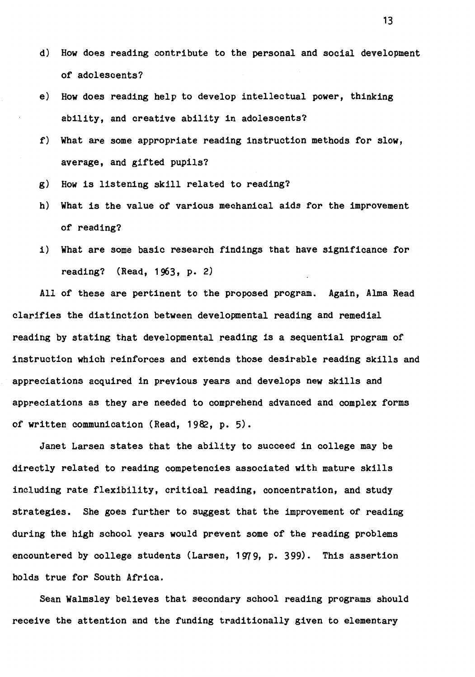- d) How does reading contribute to the personal and social development of adolescents?
- e) How does reading help to develop intellectual power, thinking ability, and creative ability in adolescents?
- f) What are some appropriate reading instruction methods for slow, average, and gifted pupils?
- **g) How** is listening skill related to reading?
- h) What is the value of various mechanical aids for the improvement of reading?
- i) What are some basic research findings that have significance for reading? (Read, 1963, p. 2)

All of these are pertinent to the proposed program. Again, Alma Read clarifies the distinction between developmental reading and remedial reading by stating that developmental reading is a sequential program of instruction which reinforces and extends those desirable reading skills and appreciations acquired in previous years and develops new skills and appreciations as they are needed to comprehend advanced and complex forms of written communication (Read, 1982, p. 5).

Janet Larsen states that the ability to succeed in college may be directly related to reading competencies associated with mature skills including rate flexibility, critical reading, concentration, and study strategies. She goes further to suggest that the improvement of reading during the high school years would prevent some of the reading problems encountered by college students (Larsen, 1979, p. 399). This assertion holds true for South Africa.

Sean Walmsley believes that secondary school reading programs should receive the attention and the funding traditionally given to elementary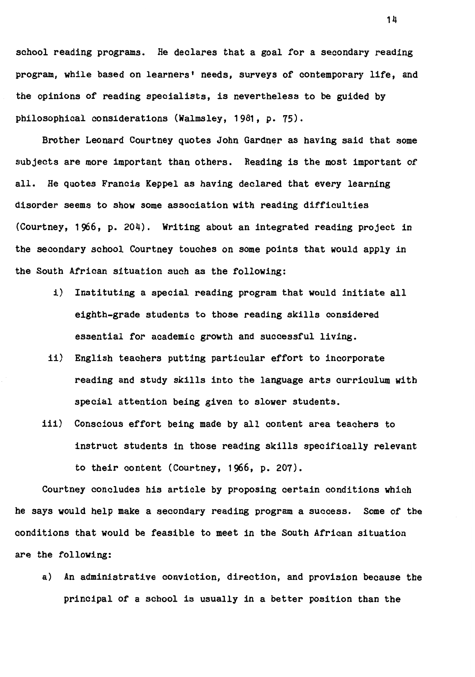school reading programs. He declares that a goal for a secondary reading program, while based on learners• needs, surveys of contemporary life, and the opinions of reading specialists, is nevertheless to be guided by philosophical considerations (Walmsley, 1981, p. 75).

Brother Leonard Courtney quotes John Gardner as having said that some subjects are more important than others. Reading is the most important of all. He quotes Francis Keppel as having declared that every learning disorder seems to show some association with reading difficulties (Courtney, 1966, p. 204). Writing about an integrated reading project in the secondary school Courtney touches on some points that would apply in the South African situation such as the following:

- i) Instituting a special reading program that would initiate all eighth-grade students to those reading skills considered essential for academic growth and successful living.
- ii) English teachers putting particular effort to incorporate reading and study skills into the language arts curriculum with special attention being given to slower students.
- iii) Conscious effort being made by all content area teachers to instruct students in those reading skills specifically relevant to their content (Courtney, 1966, p. 207).

Courtney concludes his article by proposing certain conditions which he says would help make a secondary reading program a success. Some of the conditions that would be feasible to meet in the South African situation are the following:

a) An administrative conviction, direction, and provision because the principal of a school is usually in a better position than the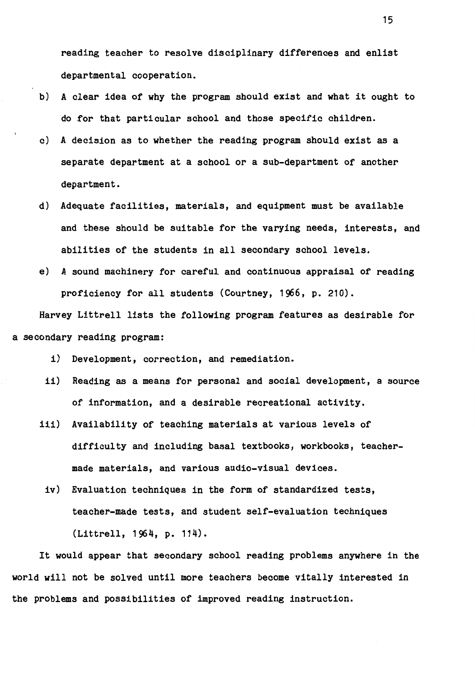reading teacher to resolve disciplinary differences and enlist departmental cooperation.

- b) A clear idea of why the program should exist and what it ought to do for that particular school and those specific children.
- c) A decision as to whether the reading program should exist as a separate department at a school or a sub-department of another department.
- d) Adequate facilities, materials, and equipment must be available and these should be suitable for the varying needs, interests, and abilities of the students in all secondary school levels.
- e) A sound machinery for careful and continuous appraisal of reading proficiency for all students (Courtney, 1966, p. 210).

Harvey Littrell lists the following program features as desirable for a secondary reading program:

- i) Development, correction, and remediation.
- ii) Reading as a means for personal and social development, a source of information, and a desirable recreational activity.
- iii) Availability of teaching materials at various levels of difficulty and including basal textbooks, workbooks, teachermade materials, and various audio-visual devices.
	- iv) Evaluation techniques in the form of standardized tests, teacher-made tests, and student self-evaluation techniques (Littrell, 1964, p. 114).

It would appear that secondary school reading problems anywhere in the world will not be solved until more teachers become vitally interested in the problems and possibilities of improved reading instruction.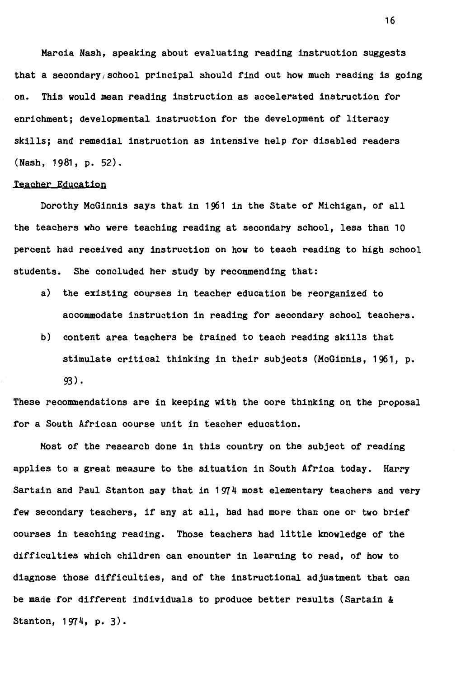Marcia Nash, speaking about evaluating reading instruction suggests that a secondary school principal should find out how much reading is going on. This would mean reading instruction as accelerated instruction for enrichment; developmental instruction for the development of literacy skills; and remedial instruction as intensive help for disabled readers (Nash, 1981, p. 52).

#### Teacher Education

Dorothy McGinnis says that in 1961 in the State of Michigan, of all the teachers who were teaching reading at secondary school, less than 10 percent had received any instruction on how to teach reading to high school students. She concluded her study by recommending that:

- a) the existing courses in teacher education be reorganized to accommodate instruction in reading for secondary school teachers.
- b) content area teachers be trained to teach reading skills that stimulate critical thinking in their subjects (McGinnis, 1961, p. 93).

These recommendations are in keeping with the core thinking on the proposal for a South African course unit in teacher education.

Most of the research done in this country on the subject of reading applies to a great measure to the situation in South Africa today. Harry Sartain and Paul Stanton say that in 1974 most elementary teachers and very few secondary teachers, if any at all, had had more than one or two brief courses in teaching reading. Those teachers had little knowledge of the difficulties which children can enounter in learning to read, of how to diagnose those difficulties, and of the instructional adjustment that can be made for different individuals to produce better results (Sartain & Stanton, 1974, p. 3).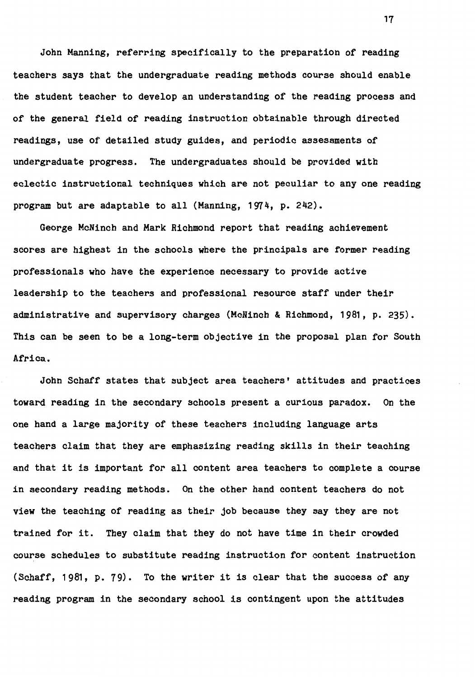John Manning, referring specifically to the preparation of reading teachers says that the undergraduate reading methods course should enable the student teacher to develop an understanding of the reading process and of the general field of reading instruction obtainable through directed readings, use of detailed study guides, and periodic assessments of undergraduate progress. The undergraduates should be provided with eclectic instructional techniques which are not peculiar to any one reading program but are adaptable to all (Manning, 1974, p. 242).

George McNinch and Mark Richmond report that reading achievement scores are highest in the schools where the principals are former reading professionals who have the experience necessary to provide active leadership to the teachers and professional resource staff under their administrative and supervisory charges (McNinch & Richmond, 1981, p. 235). This can be seen to be a long-term objective in the proposal plan for South Africa.

John Schaff states that subject area teachers' attitudes and practices toward reading in the secondary schools present a curious paradox. On the one hand a large majority of these teachers including language arts teachers claim that they are emphasizing reading skills in their teaching and that it is important for all content area teachers to complete a course in secondary reading methods. On the other hand content teachers do not **view** the teaching of reading as their job because they say they are not trained for it. They claim that they do not have time in their crowded course schedules to substitute reading instruction for content instruction (Schaff, 1981, p. 79). To the writer it is clear that the success of any reading program in the secondary school is contingent upon the attitudes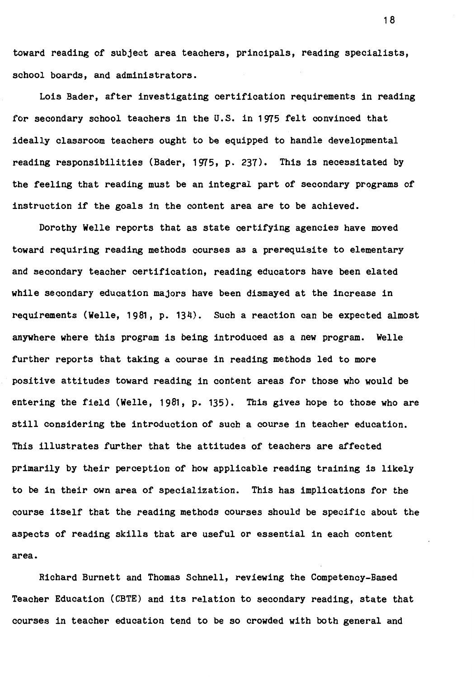toward reading of subject area teachers, principals, reading specialists, school boards, and administrators.

Lois Bader, after investigating certification requirements in reading for secondary school teachers in the U.S. in 1975 felt convinced that ideally classroom teachers ought to be equipped to handle developmental reading responsibilities (Bader, 1975, p. 237). This is necessitated by the feeling that reading must be an integral part of secondary programs of instruction if the goals in the content area are to be achieved.

Dorothy Welle reports that as state certifying agencies have moved toward requiring reading methods courses as a prerequisite to elementary and secondary teacher certification, reading educators have been elated while secondary education majors have been dismayed at the increase in requirements (Welle, 1981, p. 134). Such a reaction can be expected almost anywhere where this program is being introduced as a new program. Welle further reports that taking a course in reading methods led to more positive attitudes toward reading in content areas for those who would be entering the field (Welle, 1981, p. 135). This gives hope to those who are still considering the introduction of such a course in teacher education. This illustrates further that the attitudes of teachers are affected primarily by their perception of how applicable reading training is likely to be in their own area of specialization. This has implications for the course itself that the reading methods courses should be specific about the aspects of reading skills that are useful or essential in each content area.

Richard Burnett and Thomas Schnell, reviewing the Competency-Based Teacher Education (CBTE) and its relation to secondary reading, state that courses in teacher education tend to be so crowded with both general and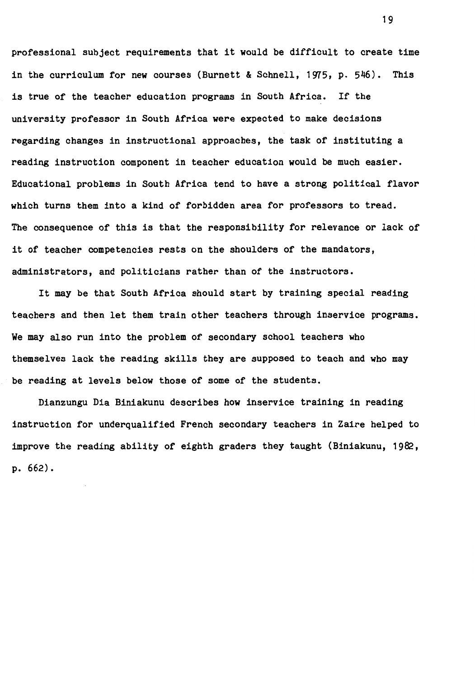professional subject requirements that it would be difficult to create time in the curriculum for new courses (Burnett & Schnell, 1975, p. 546). This is true of the teacher education programs in South Africa. If the university professor in South Africa were expected to make decisions regarding changes in instructional approaches, the task of instituting a reading instruction component in teacher education would be much easier. Educational problems in South Africa tend to have a strong political flavor which turns them into a kind of forbidden area for professors to tread. The consequence of this is that the responsibility for relevance or lack of it of teacher competencies rests on the shoulders of the mandators, administrators, and politicians rather than of the instructors.

It may be that South Africa should start by training special reading teachers and then let them train other teachers through inservice programs. We may also run into the problem of secondary school teachers who themselves lack the reading skills they are supposed to teach and who may be reading at levels below those of some of the students.

Dianzungu Dia Biniakunu describes how inservice training in reading instruction for underqualified French secondary teachers in Zaire helped to improve the reading ability of eighth graders they taught (Biniakunu, 1982, p. 662).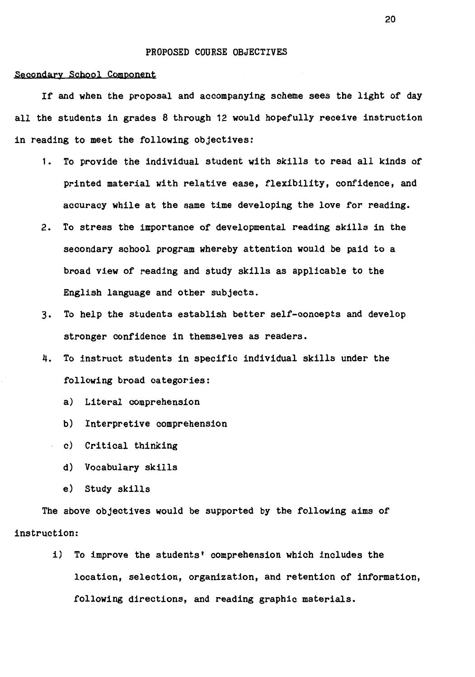#### **PROPOSED COURSE OBJECTIVES**

#### secondary School Component

If and **when** the proposal and accompanying scheme sees the light of day all the students in grades 8 through 12 would hopefully receive instruction in reading to meet the following objectives:

- 1. To provide the individual student with skills to read all kinds of printed material with relative ease, flexibility, confidence, and accuracy while at the same time developing the love for reading.
- 2. To stress the importance of developmental reading skills in the secondary school program whereby attention would be paid to a broad **view** of reading and study skills as applicable to the English language and other subjects.
- 3. To help the students establish better self-concepts and develop stronger confidence in themselves as readers.
- 4. To instruct students in specific individual skills under the following broad categories:
	- a) Literal comprehension
	- b) Interpretive comprehension
	- c) Critical thinking
	- d) Vocabulary skills
	- **e) Study skills**

The above objectives would be supported by the following aims of instruction:

> i) To improve the students' comprehension which includes the location, selection, organization, and retention of information, following directions, and reading graphic materials.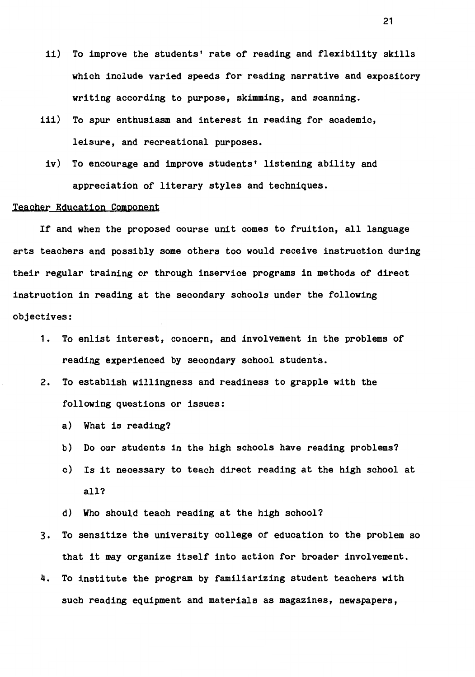- ii) To improve the students' rate of reading and flexibility skills which include varied speeds for reading narrative and expository writing according to purpose, skimming, and scanning.
- iii) To spur enthusiasm and interest in reading for academic, leisure, and recreational purposes.
	- iv) To encourage and improve students' listening ability and appreciation of literary styles and techniques.

#### Teacher Education Component

If and when the proposed course unit comes to fruition, all language arts teachers and possibly some others too would receive instruction during their regular training or through inservice programs in methods of direct instruction in reading at the secondary schools under the following objectives:

- 1. To enlist interest, concern, and involvement in the problems of reading experienced by secondary school students.
- 2. To establish willingness and readiness to grapple with the following questions or issues:
	- a) What is reading?
	- b) Do our students in the high schools have reading problems?
	- c) Is it necessary to teach direct reading at the high school at all?
	- d) Who should teach reading at the high school?
- 3. To sensitize the university college of education to the problem so that it may organize itself into action for broader involvement.
- 4. To institute the program by familiarizing student teachers with such reading equipment and materials as magazines, newspapers,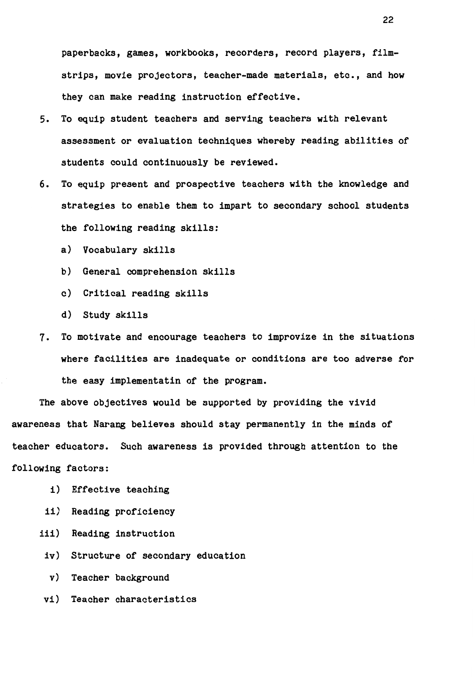paperbacks, games, workbooks, recorders, record players, filmstrips, movie projectors, teacher-made materials, etc., and how they can make reading instruction effective.

- 5. To equip student teachers and serving teachers with relevant assessment or evaluation techniques whereby reading abilities of students could continuously be reviewed.
- 6. To equip present and prospective teachers with the knowledge and strategies to enable them to impart to secondary school students the following reading skills:
	- a) Vocabulary skills
	- b) General comprehension skills
	- c) Critical reading skills
	- d) Study skills
- 7. To motivate and encourage teachers to improvize in the situations where facilities are inadequate or conditions are too adverse for the easy implementatin of the program.

The above objectives would be supported by providing the vivid awareness that Narang believes should stay permanently in the minds of teacher educators. Such awareness is provided through attention to the following factors:

- i) Effective teaching
- ii) Reading proficiency
- iii) Reading instruction
	- iv) Structure of secondary education
	- v) Teacher background
- vi) Teacher characteristics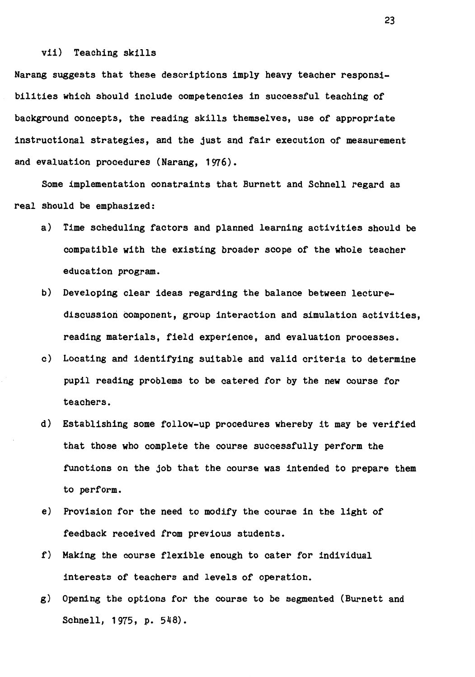#### vii) Teaching skills

Narang suggests that these descriptions imply heavy teacher responsibilities which should include competencies in successful teaching of background concepts, the reading skills themselves, use of appropriate instructional strategies, and the just and fair execution of measurement and evaluation procedures (Narang, 1976).

Some implementation constraints that Burnett and Schnell regard as real should be emphasized:

- a) Time scheduling factors and planned learning activities should be compatible with the existing broader scope of the whole teacher education program.
- b) Developing clear ideas regarding the balance between lecturediscussion component, group interaction and simulation activities, reading materials, field experience, and evaluation processes.
- c) Locating and identifying suitable and valid criteria to determine pupil reading problems to be catered for by the new course for teachers.
- d) Establishing some follow-up procedures whereby it may be verified that those who complete the course successfully perform the functions on the job that the course was intended to prepare them to perform.
- e) Provision for the need to modify the course in the light of feedback received from previous students.
- f) Making the course flexible enough to cater for individual interests of teachers and levels of operation.
- g) Opening the options for the course to be segmented (Burnett and Schnell, 1975, p. 548).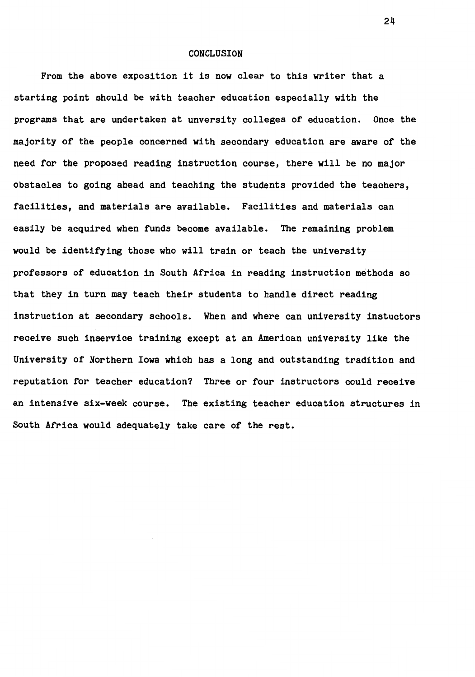#### CONCLUSION

From the above exposition it is now clear to this writer that a starting point should be with teacher education especially with the programs that are undertaken at unversity colleges of education. Once the majority of the people concerned with secondary education are aware of the need for the proposed reading instruction course, there will be no major obstacles to going ahead and teaching the students provided the teachers, facilities, and materials are available. Facilities and materials can easily be acquired when funds become available. The remaining problem would be identifying those who will train or teach the university professors of education in South Africa in reading instruction methods so that they in turn may teach their students to handle direct reading instruction at secondary schools. When and where can university instuctors receive such inservice training except at an American university like the University of Northern Iowa which has a long and outstanding tradition and reputation for teacher education? Three or four instructors could receive an intensive six-week course. The existing teacher education structures in South Africa would adequately take care of the rest.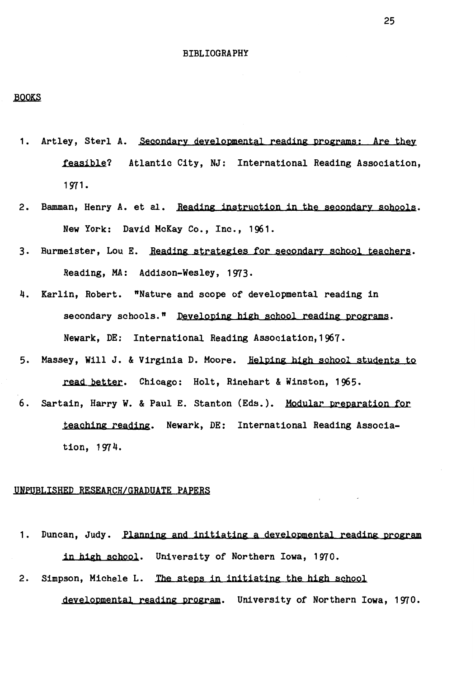#### BIBLIOGRAPHY

#### BOOKS

- 1. Artley, sterl A. Secondary developmental reading programs; Are they **feasible?** Atlantic City, NJ: International Reading Association, 1971.
- 2. Bamman, Henry A. et al. Reading instruction in the secondary schools. New York: David McKay Co., Inc., 1961.
- 3. Burmeister, Lou E. Reading strategies for secondary school teachers. Reading, MA: Addison-Wesley, 1973.
- 4. Karlin, Robert. "Nature and scope of developmental reading in secondary schools." Developing high school reading programs. Newark, DE: International Reading Association,1967.
- 5. Massey, Will *J.* & Virginia D. Moore. Helping high school students to **read** better. Chicago: Holt, Rinehart & Winston, 1965.
- 6. Sartain, Harry w. & Paul E. Stanton (Eds.). Modular preparation for teaching reading. Newark, DE: International Reading Association, 197 4.

#### UNPUBLISHED RESEARCH/GRADUATE PAPERS

- 1. Duncan, Judy. Planning and initiating a developmental reading program in **high** school. University of Northern Iowa, 1970.
- 2. Simpson, Michele L. The steps in initiating the high school developmental reading program. University of Northern Iowa, 1970.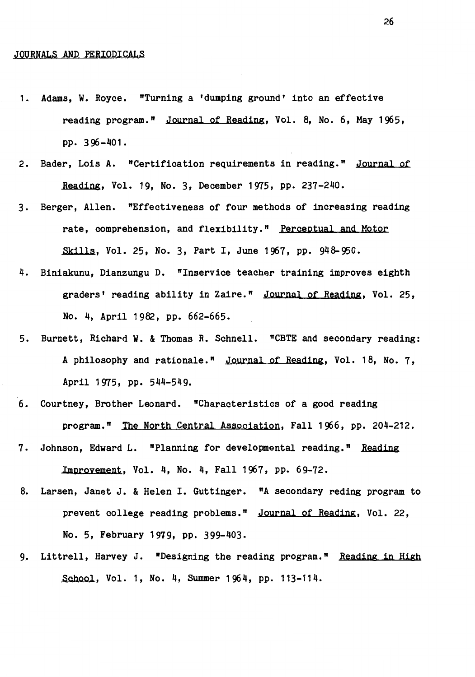#### JOURNALS AND PERIODICALS

- 1. Adams, W. Royce. "Turning a 'dumping ground' into an effective reading program." Journal of Reading, Vol. 8, No. 6, May 1965, pp. 396-401.
- 2. Bader, Lois A. "Certification requirements in reading." Journal of **Reading.** Vol. 19, No. 3, December 1975, pp. 237-240.
- 3. Berger, Allen. "Effectiveness of four methods of increasing reading rate, comprehension, and flexibility." Perceptual and Motor Skills, Vol. 25, No. 3, Part I, June 1967, pp. 948-950.
- 4. Biniakunu, Dianzungu D. "Inservice teacher training improves eighth graders' reading ability in Zaire." Journal of Reading, Vol. 25, No. 4, April 1982, pp. 662-665.
- 5. Burnett, Richard W. & Thomas R. Schnell. "CBTE and secondary reading: A philosophy and rationale." Journal of Reading, Vol. 18, No. 7, April 1975, pp. 544-549.
- 6. Courtney, Brother Leonard. "Characteristics of a good reading program." The North Central Association, Fall 1966, pp. 204-212.
- 7. Johnson, Edward L. "Planning for developmental reading." **Reading**  Improvement, Vol. 4, No. 4, Fall 1967, pp. 69-72.
- 8. Larsen, Janet J. & Helen I. Guttinger. "A secondary reding program to prevent college reading problems." Journal of Reading, Vol. 22, No. 5, February 1979, pp. 399-403.
- 9. Littrell, Harvey J. "Designing the reading program." Reading in High School, Vol. 1, No. 4, Summer 1964, pp. 113-114.